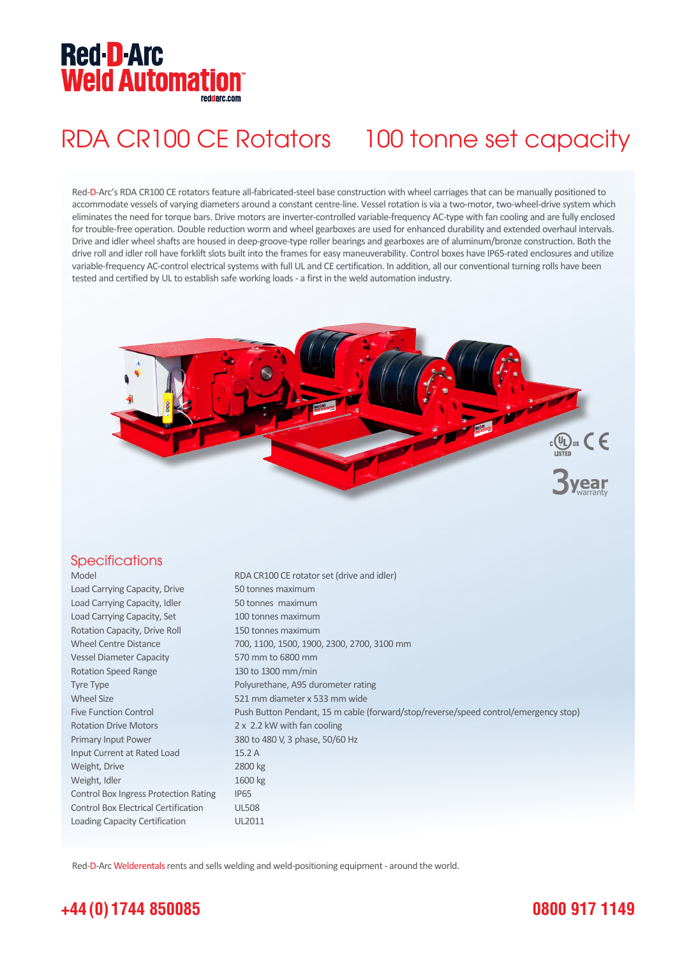# **Red-D-Arc Weld Automation®**

# RDA CR100 CE Rotators 100 tonne set capacity

Red-D-Arc's RDA CR100 CE rotators feature all-fabricated-steel base construction with wheel carriages that can be manually positioned to accommodate vessels of varying diameters around a constant centre-line. Vessel rotation is via a two-motor, two-wheel-drive system which eliminates the need for torque bars. Drive motors are inverter-controlled variable-frequency AC-type with fan cooling and are fully enclosed for trouble-free operation. Double reduction worm and wheel gearboxes are used for enhanced durability and extended overhaul intervals. Drive and idler wheel shafts are housed in deep-groove-type roller bearings and gearboxes are of aluminum/bronze construction. Both the drive roll and idler roll have forklift slots built into the frames for easy maneuverability. Control boxes have IP65-rated enclosures and utilize variable-frequency AC-control electrical systems with full UL and CE certification. In addition, all our conventional turning rolls have been tested and certified by UL to establish safe working loads - a first in the weld automation industry.



#### **Specifications**

Model RDA CR100 CE rotator set (drive and idler) Load Carrying Capacity, Drive 50 tonnes maximum Load Carrying Capacity, Idler 50 tonnes maximum Load Carrying Capacity, Set 100 tonnes maximum Rotation Capacity, Drive Roll 150 tonnes maximum Wheel Centre Distance 700, 1100, 1500, 1900, 2300, 2700, 3100 mm Vessel Diameter Capacity 570 mm to 6800 mm Rotation Speed Range 130 to 1300 mm/min Tyre Type **Polyurethane**, A95 durometer rating Wheel Size 621 mm diameter x 533 mm wide Five Function Control Push Button Pendant, 15 m cable (forward/stop/reverse/speed control/emergency stop) Rotation Drive Motors 2 x 2.2 kW with fan cooling Primary Input Power 380 to 480 V, 3 phase, 50/60 Hz Input Current at Rated Load 15.2 A Weight, Drive 2800 kg Weight, Idler 1600 kg Control Box Ingress Protection Rating IP65 Control Box Electrical Certification UL508 Loading Capacity Certification UL2011

Red-D-Arc Welderentals rents and sells welding and weld-positioning equipment - around the world.

# **+44 (0) 1744 850085**

## **0800 917 1149**